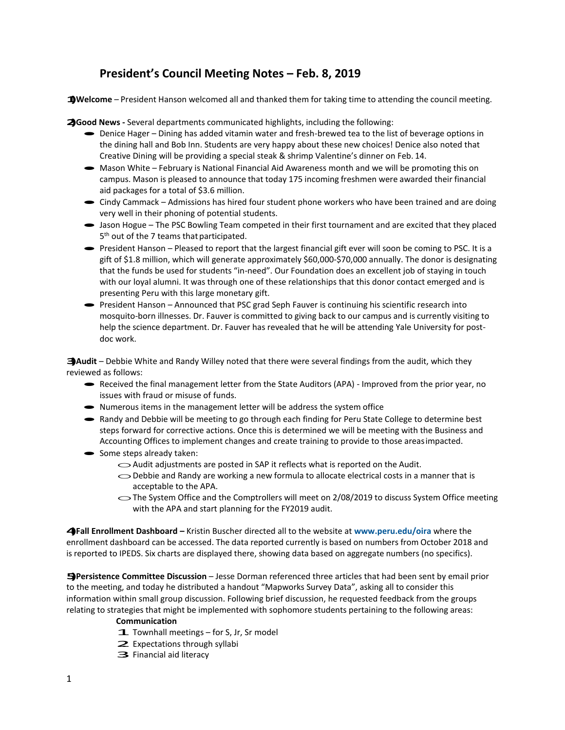# **President's Council Meeting Notes – Feb. 8, 2019**

**1)Welcome** – President Hanson welcomed all and thanked them for taking time to attending the council meeting.

**2)Good News -** Several departments communicated highlights, including the following:

- · Denice Hager Dining has added vitamin water and fresh-brewed tea to the list of beverage options in the dining hall and Bob Inn. Students are very happy about these new choices! Denice also noted that Creative Dining will be providing a special steak & shrimp Valentine's dinner on Feb. 14.
- Mason White February is National Financial Aid Awareness month and we will be promoting this on campus. Mason is pleased to announce that today 175 incoming freshmen were awarded their financial aid packages for a total of \$3.6 million.
- Cindy Cammack Admissions has hired four student phone workers who have been trained and are doing very well in their phoning of potential students.
- · Jason Hogue The PSC Bowling Team competed in their first tournament and are excited that they placed 5<sup>th</sup> out of the 7 teams that participated.
- President Hanson Pleased to report that the largest financial gift ever will soon be coming to PSC. It is a gift of \$1.8 million, which will generate approximately \$60,000-\$70,000 annually. The donor is designating that the funds be used for students "in-need". Our Foundation does an excellent job of staying in touch with our loyal alumni. It was through one of these relationships that this donor contact emerged and is presenting Peru with this large monetary gift.
- · President Hanson Announced that PSC grad Seph Fauver is continuing his scientific research into mosquito-born illnesses. Dr. Fauver is committed to giving back to our campus and is currently visiting to help the science department. Dr. Fauver has revealed that he will be attending Yale University for postdoc work.

**3)Audit** – Debbie White and Randy Willey noted that there were several findings from the audit, which they reviewed as follows:

- Received the final management letter from the State Auditors (APA) Improved from the prior year, no issues with fraud or misuse of funds.
- Numerous items in the management letter will be address the system office
- Randy and Debbie will be meeting to go through each finding for Peru State College to determine best steps forward for corrective actions. Once this is determined we will be meeting with the Business and Accounting Offices to implement changes and create training to provide to those areasimpacted.
- Some steps already taken:
	- $\sim$  Audit adjustments are posted in SAP it reflects what is reported on the Audit.
	- $\bigcirc$  Debbie and Randy are working a new formula to allocate electrical costs in a manner that is acceptable to the APA.
	- oThe System Office and the Comptrollers will meet on 2/08/2019 to discuss System Office meeting with the APA and start planning for the FY2019 audit.

**4)Fall Enrollment Dashboard –** Kristin Buscher directed all to the website at **[www.peru.edu/oira](http://www.peru.edu/oira)** where the enrollment dashboard can be accessed. The data reported currently is based on numbers from October 2018 and is reported to IPEDS. Six charts are displayed there, showing data based on aggregate numbers (no specifics).

**5)Persistence Committee Discussion** – Jesse Dorman referenced three articles that had been sent by email prior to the meeting, and today he distributed a handout "Mapworks Survey Data", asking all to consider this information within small group discussion. Following brief discussion, he requested feedback from the groups relating to strategies that might be implemented with sophomore students pertaining to the following areas:

#### **Communication**

- $\mathbf{\mathbf{\mathcal{I}}}$ . Townhall meetings for S, Jr, Sr model
- **1.** Townhall meetings for S, J
- $\geq$  Expectations through<br> $\Rightarrow$  Financial aid literacy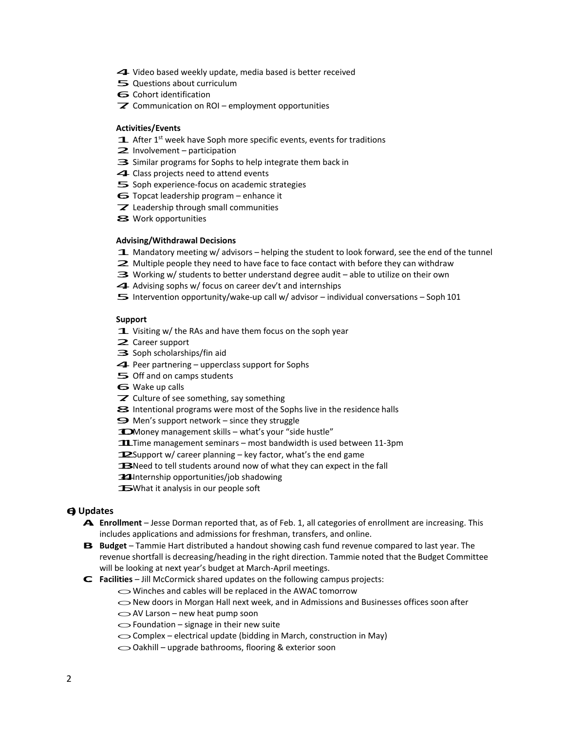- 4. Video based weekly update, media based is better received
- 4 Video based weekly update  $\overline{\mathbf{5}}$  Questions about curriculum<br> $\mathbf{6}$  Cohort identification
- 
- $\overline{\mathbf{z}}$  Communication on ROI employment opportunities

### **Activities/Events**

- $\mathbf{\mathbf{\Box}}$  After 1<sup>st</sup> week have Soph more specific events, events for traditions
- 2. Involvement participation
- 2 Involvement participation<br>3 Similar programs for Sophs to help integrate them back in **3.** Similar programs for Sophs to help in<br>▲ Class projects need to attend events
- 
- $\triangleleft$  Class projects need to attend events<br> $\angle$  Soph experience-focus on academic strategies  $\leq$  Soph experience-focus on academic stra $\leq$  Topcat leadership program – enhance it
- 5 Topcat leadership program enhance i<br>
7 Leadership through small communities
- **7** Leadership through<br>S Work opportunities
- 

## **Advising/Withdrawal Decisions**

- 1. Mandatory meeting w/ advisors helping the student to look forward, see the end of the tunnel
- **1.** Mandatory meeting w/ advisors helping the student to look forward, see the end of  $\geq$  Multiple people they need to have face to face contact with before they can withdraw  $\geq$  Multiple people they need to have face to face contact with before they can withdra  $\geq$  Working w/ students to better understand degree audit – able to utilize on their own
- $\Rightarrow$  Working w/ students to better understand degree audit able to utilize on their own<br> $\blacktriangleleft$  Advising sophs w/ focus on career dev't and internships
- 
- $5$  Intervention opportunity/wake-up call w/ advisor individual conversations Soph 101

## **Support**

- Support<br>
1. Visiting w/ the RAs and have them focus on the soph year **1.** Visiting w/ the  $\geq$  Career support
- 
- $\geq$  Career support<br> $\Rightarrow$  Soph scholarships/fin aid
- ⇒ Soph scholarships/fin aid<br>← Peer partnering upperclass support for Sophs  $\blacktriangleleft$  Peer partnering – uppercla<br>  $\blacktriangleright$  Off and on camps students
- $\overline{\mathbf{5}}$  Off and on camps students<br>  $\mathbf{6}$  Wake up calls
- 
- $\mathbb Z$  Culture of see something, say something
- 8. Intentional programs were most of the Sophs live in the residence halls<br>
8. Intentional programs were most of the Sophs live in the residence halls  $\blacktriangleright$  Intentional programs were most of the Soph<br> $\blacktriangleright$  Men's support network – since they struggle
- 
- $\bigcirc$  Men's support network since they struggle<br>  $\bigcirc$  Money management skills what's your "side hustle"
- 1 Money management skills what's your "side hustle"<br>11. Time management seminars most bandwidth is used between 11-3pm 11. Time management seminars – most bandwidth is used between<br>12. Support w/ career planning – key factor, what's the end game
- 
- **12.** Support w/ career planning key factor, what's the end game<br> **13.** Need to tell students around now of what they can expect in the fall 13. Need to tell students around now of wh<br>14. Internship opportunities/job shadowing
- **14.** Internship opportunities/job shadowing<br>**15.** What it analysis in our people soft
- 

# **6)Updates**

- **A. Enrollment**  Jesse Dorman reported that, as of Feb. 1, all categories of enrollment are increasing. This includes applications and admissions for freshman, transfers, and online.
- **B.** Budget Tammie Hart distributed a handout showing cash fund revenue compared to last year. The revenue shortfall is decreasing/heading in the right direction. Tammie noted that the Budget Committee will be looking at next year's budget at March-April meetings.
- **C. Facilities** Jill McCormick shared updates on the following campus projects:<br>
 Winches and cables will be replaced in the AWAC tomorrow
	-
	- $\bigcirc$  Winches and cables will be replaced in the AWAC tomorrow<br> $\bigcirc$  New doors in Morgan Hall next week, and in Admissions and Businesses offices soon after O New doors in Morgan Hall next w<br>
	○ AV Larson – new heat pump soon
	-
	- $\bigcirc$  AV Larson new heat pump soon<br> $\bigcirc$  Foundation signage in their new suite
	- ◯ Foundation signage in their new suite<br>
	◯ Complex electrical update (bidding in March, construction in May)
	- Complex electrical update (bidding in March, constru<br>○ Oakhill upgrade bathrooms, flooring & exterior soon